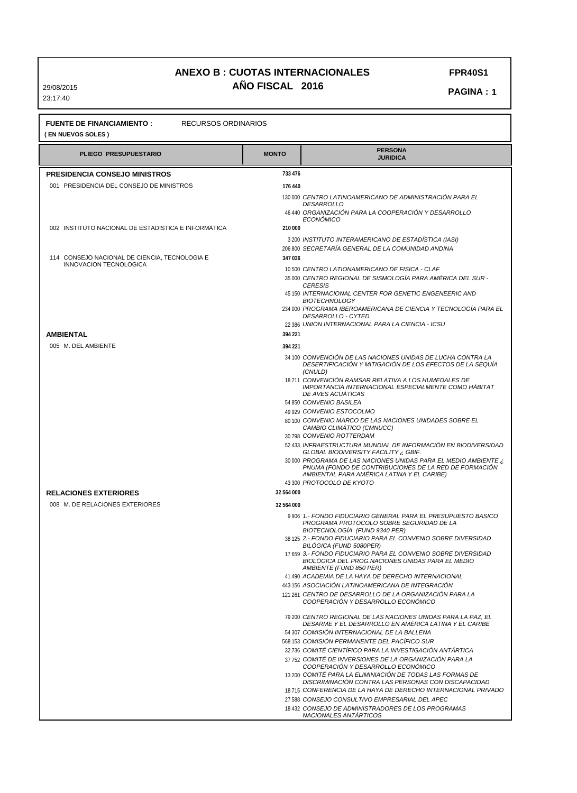**FPR40S1** 

**PAGINA: 1** 

**AMBIENTAL**

**( EN NUEVOS SOLES ) PLIEGO PRESUPUESTARIO MONTO PERSONA JURIDICA PRESIDENCIA CONSEJO MINISTROS RELACIONES EXTERIORES** 001 PRESIDENCIA DEL CONSEJO DE MINISTROS 002 INSTITUTO NACIONAL DE ESTADISTICA E INFORMATICA 114 CONSEJO NACIONAL DE CIENCIA, TECNOLOGIA E 005 M. DEL AMBIENTE 008 M. DE RELACIONES EXTERIORES INNOVACION TECNOLOGICA 130 000 *CENTRO LATINOAMERICANO DE ADMINISTRACIÓN PARA EL* 46 440 *ORGANIZACIÓN PARA LA COOPERACIÓN Y DESARROLLO* 3 200 *INSTITUTO INTERAMERICANO DE ESTADÍSTICA (IASI)* 206 800 *SECRETARÍA GENERAL DE LA COMUNIDAD ANDINA* 10 500 *CENTRO LATIONAMERICANO DE FISICA - CLAF* 35 000 *CENTRO REGIONAL DE SISMOLOGÍA PARA AMÉRICA DEL SUR -* 45 150 *INTERNACIONAL CENTER FOR GENETIC ENGENEERIC AND* 234 000 *PROGRAMA IBEROAMERICANA DE CIENCIA Y TECNOLOGÍA PARA EL* 22 386 *UNION INTERNACIONAL PARA LA CIENCIA - ICSU* 34 100 *CONVENCIÓN DE LAS NACIONES UNIDAS DE LUCHA CONTRA LA* 18 711 *CONVENCIÓN RAMSAR RELATIVA A LOS HUMEDALES DE IMPORTANCIA INTERNACIONAL ESPECIALMENTE COMO HÁBITAT* 54 850 *CONVENIO BASILEA* 49 929 *CONVENIO ESTOCOLMO* 80 100 *CONVENIO MARCO DE LAS NACIONES UNIDADES SOBRE EL* 30 798 *CONVENIO ROTTERDAM* 52 433 *INFRAESTRUCTURA MUNDIAL DE INFORMACIÓN EN BIODIVERSIDAD* 30 000 *PROGRAMA DE LAS NACIONES UNIDAS PARA EL MEDIO AMBIENTE ¿* 43 300 *PROTOCOLO DE KYOTO* 9 906 *1.- FONDO FIDUCIARIO GENERAL PARA EL PRESUPUESTO BASICO* 38 125 *2.- FONDO FIDUCIARIO PARA EL CONVENIO SOBRE DIVERSIDAD* 17 659 *3.- FONDO FIDUCIARIO PARA EL CONVENIO SOBRE DIVERSIDAD* 41 490 *ACADEMIA DE LA HAYA DE DERECHO INTERNACIONAL* 443 156 *ASOCIACIÓN LATINOAMERICANA DE INTEGRACIÓN* 121 261 *CENTRO DE DESARROLLO DE LA ORGANIZACIÓN PARA LA* 79 200 *CENTRO REGIONAL DE LAS NACIONES UNIDAS PARA LA PAZ, EL* 54 307 *COMISIÓN INTERNACIONAL DE LA BALLENA* 568 153 *COMISIÓN PERMANENTE DEL PACÍFICO SUR* 32 736 *COMITÉ CIENTÍFICO PARA LA INVESTIGACIÓN ANTÁRTICA* 37 752 *COMITÉ DE INVERSIONES DE LA ORGANIZACIÓN PARA LA* 13 200 *COMITÉ PARA LA ELIMINIACIÓN DE TODAS LAS FORMAS DE* 18 715 *CONFERENCIA DE LA HAYA DE DERECHO INTERNACIONAL PRIVADO DESARROLLO ECONÓMICO CERESIS BIOTECHNOLOGY DESARROLLO - CYTED DESERTIFICACIÓN Y MITIGACIÓN DE LOS EFECTOS DE LA SEQUÍA (CNULD) DE AVES ACUÁTICAS CAMBIO CLIMÁTICO (CMNUCC) GLOBAL BIODIVERSITY FACILITY ¿ GBIF. PNUMA (FONDO DE CONTRIBUCIONES DE LA RED DE FORMACIÓN AMBIENTAL PARA AMÉRICA LATINA Y EL CARIBE) PROGRAMA PROTOCOLO SOBRE SEGURIDAD DE LA BIOTECNOLOGÍA (FUND 9340 PER) BILÓGICA (FUND 5080PER) BIOLÓGICA DEL PROG.NACIONES UNIDAS PARA EL MEDIO AMBIENTE (FUND 850 PER) COOPERACIÓN Y DESARROLLO ECONÓMICO DESARME Y EL DESARROLLO EN AMÉRICA LATINA Y EL CARIBE COOPERACIÓN Y DESARROLLO ECONÓMICO DISCRIMINACIÓN CONTRA LAS PERSONAS CON DISCAPACIDAD*  **176 440 210 000 347 036 394 221 32 564 000 733 476 394 221 32 564 000**

#### 27 588 *CONSEJO CONSULTIVO EMPRESARIAL DEL APEC*

 18 432 *CONSEJO DE ADMINISTRADORES DE LOS PROGRAMAS NACIONALES ANTÁRTICOS*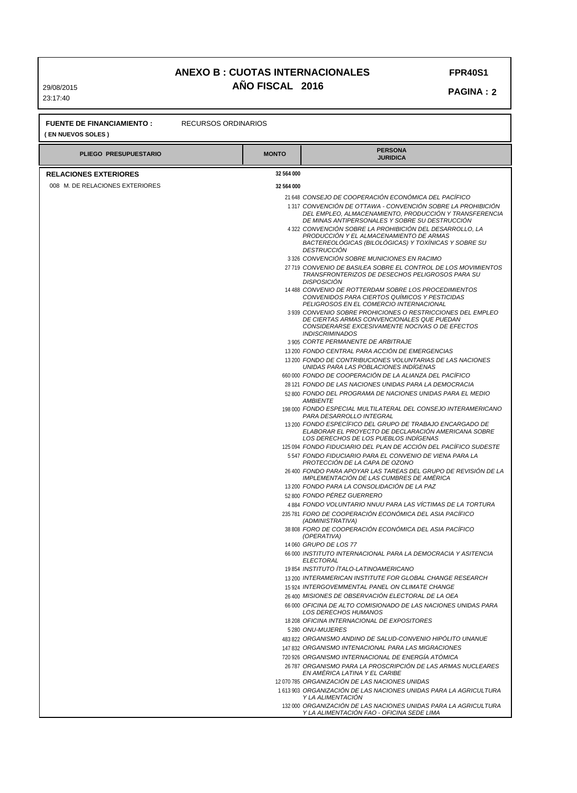29/08/2015 23:17:40

#### **PAGINA : 2 FPR40S1**

| <b>FUENTE DE FINANCIAMIENTO:</b><br>RECURSOS ORDINARIOS<br>( EN NUEVOS SOLES ) |              |                                                                                                                                                              |  |
|--------------------------------------------------------------------------------|--------------|--------------------------------------------------------------------------------------------------------------------------------------------------------------|--|
| <b>PLIEGO PRESUPUESTARIO</b>                                                   | <b>MONTO</b> | <b>PERSONA</b><br><b>JURIDICA</b>                                                                                                                            |  |
| <b>RELACIONES EXTERIORES</b>                                                   | 32 564 000   |                                                                                                                                                              |  |
| 008 M. DE RELACIONES EXTERIORES                                                | 32 564 000   |                                                                                                                                                              |  |
|                                                                                |              | 21 648 CONSEJO DE COOPERACIÓN ECONÓMICA DEL PACÍFICO                                                                                                         |  |
|                                                                                |              | 1317 CONVENCIÓN DE OTTAWA - CONVENCIÓN SOBRE LA PROHIBICIÓN                                                                                                  |  |
|                                                                                |              | DEL EMPLEO, ALMACENAMIENTO, PRODUCCIÓN Y TRANSFERENCIA                                                                                                       |  |
|                                                                                |              | DE MINAS ANTIPERSONALES Y SOBRE SU DESTRUCCIÓN                                                                                                               |  |
|                                                                                |              | 4 322 CONVENCIÓN SOBRE LA PROHIBICIÓN DEL DESARROLLO, LA<br>PRODUCCIÓN Y EL ALMACENAMIENTO DE ARMAS                                                          |  |
|                                                                                |              | BACTEREOLÓGICAS (BILOLÓGICAS) Y TOXÍNICAS Y SOBRE SU                                                                                                         |  |
|                                                                                |              | <b>DESTRUCCION</b>                                                                                                                                           |  |
|                                                                                |              | 3326 CONVENCIÓN SOBRE MUNICIONES EN RACIMO<br>27 719 CONVENIO DE BASILEA SOBRE EL CONTROL DE LOS MOVIMIENTOS                                                 |  |
|                                                                                |              | TRANSFRONTERIZOS DE DESECHOS PELIGROSOS PARA SU<br><b>DISPOSICION</b>                                                                                        |  |
|                                                                                |              | 14 488 CONVENIO DE ROTTERDAM SOBRE LOS PROCEDIMIENTOS<br>CONVENIDOS PARA CIERTOS QUIMICOS Y PESTICIDAS<br>PELIGROSOS EN EL COMERCIO INTERNACIONAL            |  |
|                                                                                |              | 3939 CONVENIO SOBRE PROHICIONES O RESTRICCIONES DEL EMPLEO                                                                                                   |  |
|                                                                                |              | DE CIERTAS ARMAS CONVENCIONALES QUE PUEDAN<br>CONSIDERARSE EXCESIVAMENTE NOCIVAS O DE EFECTOS                                                                |  |
|                                                                                |              | <b>INDISCRIMINADOS</b>                                                                                                                                       |  |
|                                                                                |              | 3 905 CORTE PERMANENTE DE ARBITRAJE                                                                                                                          |  |
|                                                                                |              | 13 200 FONDO CENTRAL PARA ACCIÓN DE EMERGENCIAS                                                                                                              |  |
|                                                                                |              | 13 200 FONDO DE CONTRIBUCIONES VOLUNTARIAS DE LAS NACIONES<br>UNIDAS PARA LAS POBLACIONES INDÍGENAS                                                          |  |
|                                                                                |              | 660 000 FONDO DE COOPERACIÓN DE LA ALIANZA DEL PACÍFICO                                                                                                      |  |
|                                                                                |              | 28 121 FONDO DE LAS NACIONES UNIDAS PARA LA DEMOCRACIA                                                                                                       |  |
|                                                                                |              | 52 800 FONDO DEL PROGRAMA DE NACIONES UNIDAS PARA EL MEDIO<br><b>AMBIENTE</b>                                                                                |  |
|                                                                                |              | 198 000 FONDO ESPECIAL MULTILATERAL DEL CONSEJO INTERAMERICANO<br>PARA DESARROLLO INTEGRAL                                                                   |  |
|                                                                                |              | 13 200 FONDO ESPECIFICO DEL GRUPO DE TRABAJO ENCARGADO DE<br>ELABORAR EL PROYECTO DE DECLARACIÓN AMERICANA SOBRE<br>LOS DERECHOS DE LOS PUEBLOS INDIGENAS    |  |
|                                                                                |              | 125 094 FONDO FIDUCIARIO DEL PLAN DE ACCIÓN DEL PACÍFICO SUDESTE                                                                                             |  |
|                                                                                |              | 5547 FONDO FIDUCIARIO PARA EL CONVENIO DE VIENA PARA LA<br>PROTECCIÓN DE LA CAPA DE OZONO<br>26 400 FONDO PARA APOYAR LAS TAREAS DEL GRUPO DE REVISIÓN DE LA |  |
|                                                                                |              | IMPLEMENTACIÓN DE LAS CUMBRES DE AMÉRICA<br>13 200 FONDO PARA LA CONSOLIDACIÓN DE LA PAZ                                                                     |  |
|                                                                                |              | 52 800 FONDO PÉREZ GUERRERO                                                                                                                                  |  |
|                                                                                |              | 4884 FONDO VOLUNTARIO NNUU PARA LAS VÍCTIMAS DE LA TORTURA                                                                                                   |  |
|                                                                                |              | 235 781 FORO DE COOPERACIÓN ECONÓMICA DEL ASIA PACÍFICO<br>(ADMINISTRATIVA)                                                                                  |  |
|                                                                                |              | 38 808 FORO DE COOPERACIÓN ECONÓMICA DEL ASIA PACÍFICO<br>(OPERATIVA)                                                                                        |  |
|                                                                                |              | 14 060 GRUPO DE LOS 77<br>66 000 INSTITUTO INTERNACIONAL PARA LA DEMOCRACIA Y ASITENCIA                                                                      |  |
|                                                                                |              | ELECTORAL                                                                                                                                                    |  |
|                                                                                |              | 19854 INSTITUTO ITALO-LATINOAMERICANO                                                                                                                        |  |
|                                                                                |              | 13 200 INTERAMERICAN INSTITUTE FOR GLOBAL CHANGE RESEARCH                                                                                                    |  |
|                                                                                |              | 15 924 INTERGOVEMMENTAL PANEL ON CLIMATE CHANGE                                                                                                              |  |
|                                                                                |              | 26 400 MISIONES DE OBSERVACIÓN ELECTORAL DE LA OEA                                                                                                           |  |
|                                                                                |              | 66 000 OFICINA DE ALTO COMISIONADO DE LAS NACIONES UNIDAS PARA<br>LOS DERECHOS HUMANOS<br>18 208 OFICINA INTERNACIONAL DE EXPOSITORES                        |  |
|                                                                                |              | 5 280 ONU-MUJERES                                                                                                                                            |  |
|                                                                                |              | 483 822 ORGANISMO ANDINO DE SALUD-CONVENIO HIPÓLITO UNANUE                                                                                                   |  |
|                                                                                |              | 147 832 ORGANISMO INTENACIONAL PARA LAS MIGRACIONES                                                                                                          |  |
|                                                                                |              | 720 926 ORGANISMO INTERNACIONAL DE ENERGIA ATÓMICA                                                                                                           |  |
|                                                                                |              | 26 787 ORGANISMO PARA LA PROSCRIPCIÓN DE LAS ARMAS NUCLEARES<br>EN AMÉRICA LATINA Y EL CARIBE                                                                |  |
|                                                                                |              | 12 070 785 ORGANIZACIÓN DE LAS NACIONES UNIDAS                                                                                                               |  |
|                                                                                |              | 1613 903 ORGANIZACIÓN DE LAS NACIONES UNIDAS PARA LA AGRICULTURA<br>Y LA ALIMENTACIÓN                                                                        |  |
|                                                                                |              | 132 000 ORGANIZACIÓN DE LAS NACIONES UNIDAS PARA LA AGRICULTURA<br>Y LA ALIMENTACIÓN FAO - OFICINA SEDE LIMA                                                 |  |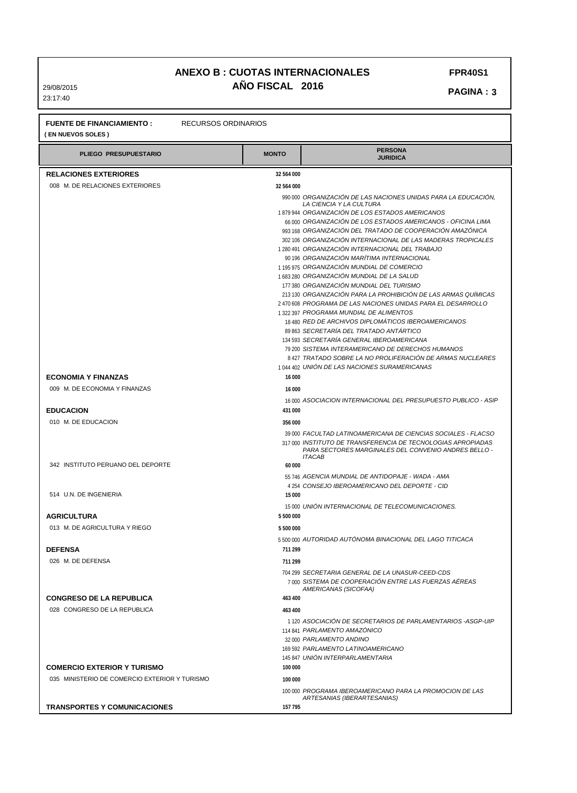29/08/2015 23:17:40

**FPR40S1** 

 **PAGINA: 3** 

| <b>RECURSOS ORDINARIOS</b><br><b>FUENTE DE FINANCIAMIENTO:</b><br>(EN NUEVOS SOLES) |              |                                                                                                                                       |  |  |
|-------------------------------------------------------------------------------------|--------------|---------------------------------------------------------------------------------------------------------------------------------------|--|--|
| PLIEGO PRESUPUESTARIO                                                               | <b>MONTO</b> | <b>PERSONA</b><br><b>JURIDICA</b>                                                                                                     |  |  |
| <b>RELACIONES EXTERIORES</b>                                                        | 32 564 000   |                                                                                                                                       |  |  |
| 008 M. DE RELACIONES EXTERIORES                                                     | 32 564 000   |                                                                                                                                       |  |  |
|                                                                                     |              | 990 000 ORGANIZACIÓN DE LAS NACIONES UNIDAS PARA LA EDUCACIÓN.                                                                        |  |  |
|                                                                                     |              | LA CIENCIA Y LA CULTURA<br>1879 944 ORGANIZACIÓN DE LOS ESTADOS AMERICANOS                                                            |  |  |
|                                                                                     |              | 66 000 ORGANIZACIÓN DE LOS ESTADOS AMERICANOS - OFICINA LIMA                                                                          |  |  |
|                                                                                     |              | 993 168 ORGANIZACIÓN DEL TRATADO DE COOPERACIÓN AMAZÓNICA                                                                             |  |  |
|                                                                                     |              | 302 106 ORGANIZACIÓN INTERNACIONAL DE LAS MADERAS TROPICALES<br>1 280 491 ORGANIZACIÓN INTERNACIONAL DEL TRABAJO                      |  |  |
|                                                                                     |              | 90 196 ORGANIZACIÓN MARÍTIMA INTERNACIONAL                                                                                            |  |  |
|                                                                                     |              | 1195 975 ORGANIZACIÓN MUNDIAL DE COMERCIO                                                                                             |  |  |
|                                                                                     |              | 1683 280 ORGANIZACIÓN MUNDIAL DE LA SALUD                                                                                             |  |  |
|                                                                                     |              | 177 380 ORGANIZACIÓN MUNDIAL DEL TURISMO<br>213 130 ORGANIZACIÓN PARA LA PROHIBICIÓN DE LAS ARMAS QUIMICAS                            |  |  |
|                                                                                     |              | 2470 608 PROGRAMA DE LAS NACIONES UNIDAS PARA EL DESARROLLO                                                                           |  |  |
|                                                                                     |              | 1322 397 PROGRAMA MUNDIAL DE ALIMENTOS                                                                                                |  |  |
|                                                                                     |              | 18 480 RED DE ARCHIVOS DIPLOMÁTICOS IBEROAMERICANOS<br>89 863 SECRETARÍA DEL TRATADO ANTÁRTICO                                        |  |  |
|                                                                                     |              | 134 593 SECRETARÍA GENERAL IBEROAMERICANA                                                                                             |  |  |
|                                                                                     |              | 79 200 SISTEMA INTERAMERICANO DE DERECHOS HUMANOS                                                                                     |  |  |
|                                                                                     |              | 8427 TRATADO SOBRE LA NO PROLIFERACIÓN DE ARMAS NUCLEARES                                                                             |  |  |
| <b>ECONOMIA Y FINANZAS</b>                                                          | 16 000       | 1044 402 UNIÓN DE LAS NACIONES SURAMERICANAS                                                                                          |  |  |
| 009 M. DE ECONOMIA Y FINANZAS                                                       | 16 000       |                                                                                                                                       |  |  |
|                                                                                     |              | 16000 ASOCIACION INTERNACIONAL DEL PRESUPUESTO PUBLICO - ASIP                                                                         |  |  |
| <b>EDUCACION</b>                                                                    | 431 000      |                                                                                                                                       |  |  |
| 010 M. DE EDUCACION                                                                 | 356 000      |                                                                                                                                       |  |  |
|                                                                                     |              | 39 000 FACULTAD LATINOAMERICANA DE CIENCIAS SOCIALES - FLACSO                                                                         |  |  |
|                                                                                     |              | 317 000 INSTITUTO DE TRANSFERENCIA DE TECNOLOGIAS APROPIADAS<br>PARA SECTORES MARGINALES DEL CONVENIO ANDRES BELLO -<br><b>ITACAB</b> |  |  |
| 342 INSTITUTO PERUANO DEL DEPORTE                                                   | 60 000       |                                                                                                                                       |  |  |
|                                                                                     |              | 55 746 AGENCIA MUNDIAL DE ANTIDOPAJE - WADA - AMA<br>4254 CONSEJO IBEROAMERICANO DEL DEPORTE - CID                                    |  |  |
| 514 U.N. DE INGENIERIA                                                              | 15 000       |                                                                                                                                       |  |  |
|                                                                                     |              | 15 000 UNION INTERNACIONAL DE TELECOMUNICACIONES.                                                                                     |  |  |
| <b>AGRICULTURA</b>                                                                  | 5 500 000    |                                                                                                                                       |  |  |
| 013 M. DE AGRICULTURA Y RIEGO                                                       | 5 500 000    |                                                                                                                                       |  |  |
|                                                                                     | 711 299      | 5500000 AUTORIDAD AUTÓNOMA BINACIONAL DEL LAGO TITICACA                                                                               |  |  |
| <b>DEFENSA</b><br>026 M. DE DEFENSA                                                 | 711 299      |                                                                                                                                       |  |  |
|                                                                                     |              | 704 299 SECRETARIA GENERAL DE LA UNASUR-CEED-CDS                                                                                      |  |  |
|                                                                                     |              | 7 000 SISTEMA DE COOPERACIÓN ENTRE LAS FUERZAS AÉREAS<br>AMERICANAS (SICOFAA)                                                         |  |  |
| <b>CONGRESO DE LA REPUBLICA</b>                                                     | 463 400      |                                                                                                                                       |  |  |
| 028 CONGRESO DE LA REPUBLICA                                                        | 463 400      |                                                                                                                                       |  |  |
|                                                                                     |              | 1120 ASOCIACIÓN DE SECRETARIOS DE PARLAMENTARIOS -ASGP-UIP<br>114 841 PARLAMENTO AMAZÓNICO                                            |  |  |
|                                                                                     |              | 32 000 PARLAMENTO ANDINO                                                                                                              |  |  |
|                                                                                     |              | 169 592 PARLAMENTO LATINOAMERICANO                                                                                                    |  |  |
|                                                                                     |              | 145 847 UNIÓN INTERPARLAMENTARIA                                                                                                      |  |  |
| <b>COMERCIO EXTERIOR Y TURISMO</b>                                                  | 100 000      |                                                                                                                                       |  |  |
| 035 MINISTERIO DE COMERCIO EXTERIOR Y TURISMO                                       | 100 000      | 100 000 PROGRAMA IBEROAMERICANO PARA LA PROMOCION DE LAS                                                                              |  |  |
|                                                                                     |              | ARTESANIAS (IBERARTESANIAS)                                                                                                           |  |  |
| <b>TRANSPORTES Y COMUNICACIONES</b>                                                 | 157 795      |                                                                                                                                       |  |  |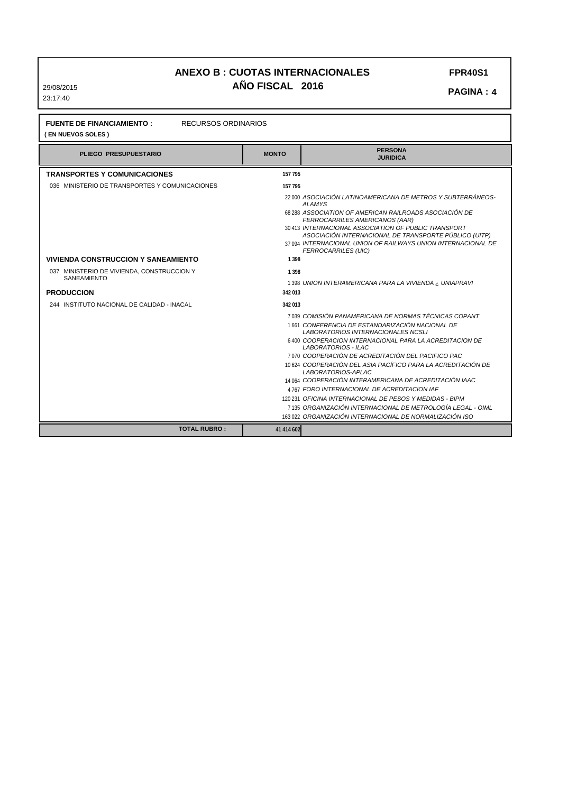29/08/2015 23:17:40

**FPR40S1** 

 **PAGINA: 4** 

| <b>FUENTE DE FINANCIAMIENTO:</b><br><b>RECURSOS ORDINARIOS</b><br>(EN NUEVOS SOLES) |              |                                                                                                                                                                                                                                                                                                                                                                                                                                                                                                                                                                                                                      |  |  |
|-------------------------------------------------------------------------------------|--------------|----------------------------------------------------------------------------------------------------------------------------------------------------------------------------------------------------------------------------------------------------------------------------------------------------------------------------------------------------------------------------------------------------------------------------------------------------------------------------------------------------------------------------------------------------------------------------------------------------------------------|--|--|
| <b>PLIEGO PRESUPUESTARIO</b>                                                        | <b>MONTO</b> | <b>PERSONA</b><br><b>JURIDICA</b>                                                                                                                                                                                                                                                                                                                                                                                                                                                                                                                                                                                    |  |  |
| <b>TRANSPORTES Y COMUNICACIONES</b>                                                 | 157 795      |                                                                                                                                                                                                                                                                                                                                                                                                                                                                                                                                                                                                                      |  |  |
| 036 MINISTERIO DE TRANSPORTES Y COMUNICACIONES                                      | 157 795      |                                                                                                                                                                                                                                                                                                                                                                                                                                                                                                                                                                                                                      |  |  |
|                                                                                     |              | 22 000 ASOCIACIÓN LATINOAMERICANA DE METROS Y SUBTERRÁNEOS-<br><b>ALAMYS</b><br>68 288 ASSOCIATION OF AMERICAN RAILROADS ASOCIACIÓN DE<br>FERROCARRILES AMERICANOS (AAR)                                                                                                                                                                                                                                                                                                                                                                                                                                             |  |  |
|                                                                                     |              | 30 413 INTERNACIONAL ASSOCIATION OF PUBLIC TRANSPORT<br>ASOCIACIÓN INTERNACIONAL DE TRANSPORTE PÚBLICO (UITP)                                                                                                                                                                                                                                                                                                                                                                                                                                                                                                        |  |  |
|                                                                                     |              | 37 094 INTERNACIONAL UNION OF RAILWAYS UNION INTERNACIONAL DE<br><b>FERROCARRILES (UIC)</b>                                                                                                                                                                                                                                                                                                                                                                                                                                                                                                                          |  |  |
| <b>VIVIENDA CONSTRUCCION Y SANEAMIENTO</b>                                          | 1398         |                                                                                                                                                                                                                                                                                                                                                                                                                                                                                                                                                                                                                      |  |  |
| 037 MINISTERIO DE VIVIENDA, CONSTRUCCION Y<br><b>SANEAMIENTO</b>                    | 1398         | 1398 UNION INTERAMERICANA PARA LA VIVIENDA ¿ UNIAPRAVI                                                                                                                                                                                                                                                                                                                                                                                                                                                                                                                                                               |  |  |
| <b>PRODUCCION</b>                                                                   | 342 013      |                                                                                                                                                                                                                                                                                                                                                                                                                                                                                                                                                                                                                      |  |  |
| 244 INSTITUTO NACIONAL DE CALIDAD - INACAL                                          | 342 013      |                                                                                                                                                                                                                                                                                                                                                                                                                                                                                                                                                                                                                      |  |  |
|                                                                                     |              | 7039 COMISIÓN PANAMERICANA DE NORMAS TÉCNICAS COPANT<br>1661 CONFERENCIA DE ESTANDARIZACIÓN NACIONAL DE<br><b>LABORATORIOS INTERNACIONALES NCSLI</b><br>6400 COOPERACION INTERNACIONAL PARA LA ACREDITACION DE<br>LABORATORIOS - ILAC<br>7070 COOPERACIÓN DE ACREDITACIÓN DEL PACIFICO PAC<br>10 624 COOPERACIÓN DEL ASIA PACÍFICO PARA LA ACREDITACIÓN DE<br>LABORATORIOS-APLAC<br>14 064 COOPERACIÓN INTERAMERICANA DE ACREDITACIÓN IAAC<br>4 767 FORO INTERNACIONAL DE ACREDITACION IAF<br>120 231 OFICINA INTERNACIONAL DE PESOS Y MEDIDAS - BIPM<br>7 135 ORGANIZACIÓN INTERNACIONAL DE METROLOGÍA LEGAL - OIML |  |  |

 **41 414 602**

**TOTAL RUBRO :** 

163 022 *ORGANIZACIÓN INTERNACIONAL DE NORMALIZACIÓN ISO*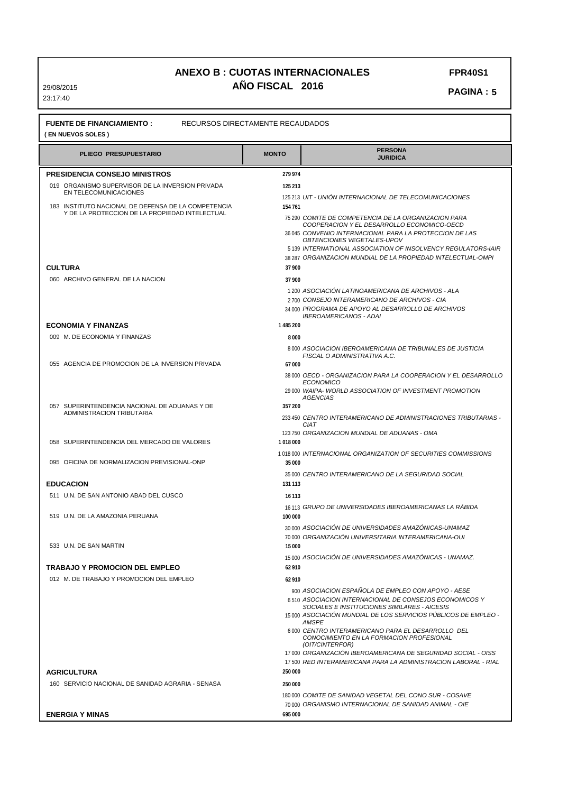29/08/2015 23:17:40

 **PAGINA: 5** 

| PLIEGO PRESUPUESTARIO                                                                                 | <b>MONTO</b> | <b>PERSONA</b><br><b>JURIDICA</b>                                                                                                                                         |  |  |
|-------------------------------------------------------------------------------------------------------|--------------|---------------------------------------------------------------------------------------------------------------------------------------------------------------------------|--|--|
| PRESIDENCIA CONSEJO MINISTROS                                                                         | 279 974      |                                                                                                                                                                           |  |  |
| 019 ORGANISMO SUPERVISOR DE LA INVERSION PRIVADA<br>EN TELECOMUNICACIONES                             | 125 213      |                                                                                                                                                                           |  |  |
| 183 INSTITUTO NACIONAL DE DEFENSA DE LA COMPETENCIA<br>Y DE LA PROTECCION DE LA PROPIEDAD INTELECTUAL | 154 761      | 125 213 UIT - UNION INTERNACIONAL DE TELECOMUNICACIONES<br>75 290 COMITE DE COMPETENCIA DE LA ORGANIZACION PARA                                                           |  |  |
|                                                                                                       |              | COOPERACION Y EL DESARROLLO ECONOMICO-OECD<br>36 045 CONVENIO INTERNACIONAL PARA LA PROTECCION DE LAS<br>OBTENCIONES VEGETALES-UPOV                                       |  |  |
|                                                                                                       |              | 5 139 INTERNATIONAL ASSOCIATION OF INSOLVENCY REGULATORS-IAIR<br>38 287 ORGANIZACION MUNDIAL DE LA PROPIEDAD INTELECTUAL-OMPI                                             |  |  |
| <b>CULTURA</b>                                                                                        | 37 900       |                                                                                                                                                                           |  |  |
| 060 ARCHIVO GENERAL DE LA NACION                                                                      | 37 900       |                                                                                                                                                                           |  |  |
|                                                                                                       |              | 1 200 ASOCIACIÓN LATINOAMERICANA DE ARCHIVOS - ALA<br>2700 CONSEJO INTERAMERICANO DE ARCHIVOS - CIA                                                                       |  |  |
|                                                                                                       |              | 34 000 PROGRAMA DE APOYO AL DESARROLLO DE ARCHIVOS<br><b>IBEROAMERICANOS - ADAI</b>                                                                                       |  |  |
| <b>ECONOMIA Y FINANZAS</b>                                                                            | 1485200      |                                                                                                                                                                           |  |  |
| 009 M. DE ECONOMIA Y FINANZAS                                                                         | 8000         |                                                                                                                                                                           |  |  |
|                                                                                                       |              | 8000 ASOCIACION IBEROAMERICANA DE TRIBUNALES DE JUSTICIA<br>FISCAL O ADMINISTRATIVA A.C.                                                                                  |  |  |
| 055 AGENCIA DE PROMOCION DE LA INVERSION PRIVADA                                                      | 67 000       | 38 000 OECD - ORGANIZACION PARA LA COOPERACION Y EL DESARROLLO                                                                                                            |  |  |
|                                                                                                       |              | <b>ECONOMICO</b><br>29 000 WAIPA- WORLD ASSOCIATION OF INVESTMENT PROMOTION                                                                                               |  |  |
| 057 SUPERINTENDENCIA NACIONAL DE ADUANAS Y DE                                                         | 357 200      | <b>AGENCIAS</b>                                                                                                                                                           |  |  |
| ADMINISTRACION TRIBUTARIA                                                                             |              | 233 450 CENTRO INTERAMERICANO DE ADMINISTRACIONES TRIBUTARIAS -<br><b>CIAT</b>                                                                                            |  |  |
| 058 SUPERINTENDENCIA DEL MERCADO DE VALORES                                                           | 1018000      | 123 750 ORGANIZACION MUNDIAL DE ADUANAS - OMA                                                                                                                             |  |  |
| 095 OFICINA DE NORMALIZACION PREVISIONAL-ONP                                                          | 35 000       | 1018000 INTERNACIONAL ORGANIZATION OF SECURITIES COMMISSIONS                                                                                                              |  |  |
| <b>EDUCACION</b>                                                                                      | 131 113      | 35 000 CENTRO INTERAMERICANO DE LA SEGURIDAD SOCIAL                                                                                                                       |  |  |
| 511 U.N. DE SAN ANTONIO ABAD DEL CUSCO                                                                | 16 113       |                                                                                                                                                                           |  |  |
|                                                                                                       |              | 16 113 GRUPO DE UNIVERSIDADES IBEROAMERICANAS LA RABIDA                                                                                                                   |  |  |
| 519 U.N. DE LA AMAZONIA PERUANA                                                                       | 100 000      | 30 000 ASOCIACIÓN DE UNIVERSIDADES AMAZÓNICAS-UNAMAZ                                                                                                                      |  |  |
| 533 U.N. DE SAN MARTIN                                                                                | 15 000       | 70 000 ORGANIZACIÓN UNIVERSITARIA INTERAMERICANA-OUI                                                                                                                      |  |  |
|                                                                                                       |              | 15 000 ASOCIACIÓN DE UNIVERSIDADES AMAZÓNICAS - UNAMAZ.                                                                                                                   |  |  |
| TRABAJO Y PROMOCION DEL EMPLEO                                                                        | 62 910       |                                                                                                                                                                           |  |  |
| 012 M. DE TRABAJO Y PROMOCION DEL EMPLEO                                                              | 62 910       | 900 ASOCIACION ESPAÑOLA DE EMPLEO CON APOYO - AESE                                                                                                                        |  |  |
|                                                                                                       |              | 6510 ASOCIACION INTERNACIONAL DE CONSEJOS ECONOMICOS Y<br>SOCIALES E INSTITUCIONES SIMILARES - AICESIS<br>15 000 ASOCIACIÓN MUNDIAL DE LOS SERVICIOS PÚBLICOS DE EMPLEO - |  |  |
|                                                                                                       |              | <b>AMSPE</b><br>6000 CENTRO INTERAMERICANO PARA EL DESARROLLO DEL<br>CONOCIMIENTO EN LA FORMACION PROFESIONAL<br>(OIT/CINTERFOR)                                          |  |  |
|                                                                                                       |              | 17 000 ORGANIZACIÓN IBEROAMERICANA DE SEGURIDAD SOCIAL - OISS<br>17 500 RED INTERAMERICANA PARA LA ADMINISTRACION LABORAL - RIAL                                          |  |  |
| <b>AGRICULTURA</b>                                                                                    | 250,000      |                                                                                                                                                                           |  |  |
| 160 SERVICIO NACIONAL DE SANIDAD AGRARIA - SENASA                                                     | 250 000      |                                                                                                                                                                           |  |  |
|                                                                                                       |              | 180 000 COMITE DE SANIDAD VEGETAL DEL CONO SUR - COSAVE<br>70 000 ORGANISMO INTERNACIONAL DE SANIDAD ANIMAL - OIE                                                         |  |  |
| <b>ENERGIA Y MINAS</b>                                                                                | 695 000      |                                                                                                                                                                           |  |  |

**FPR40S1**